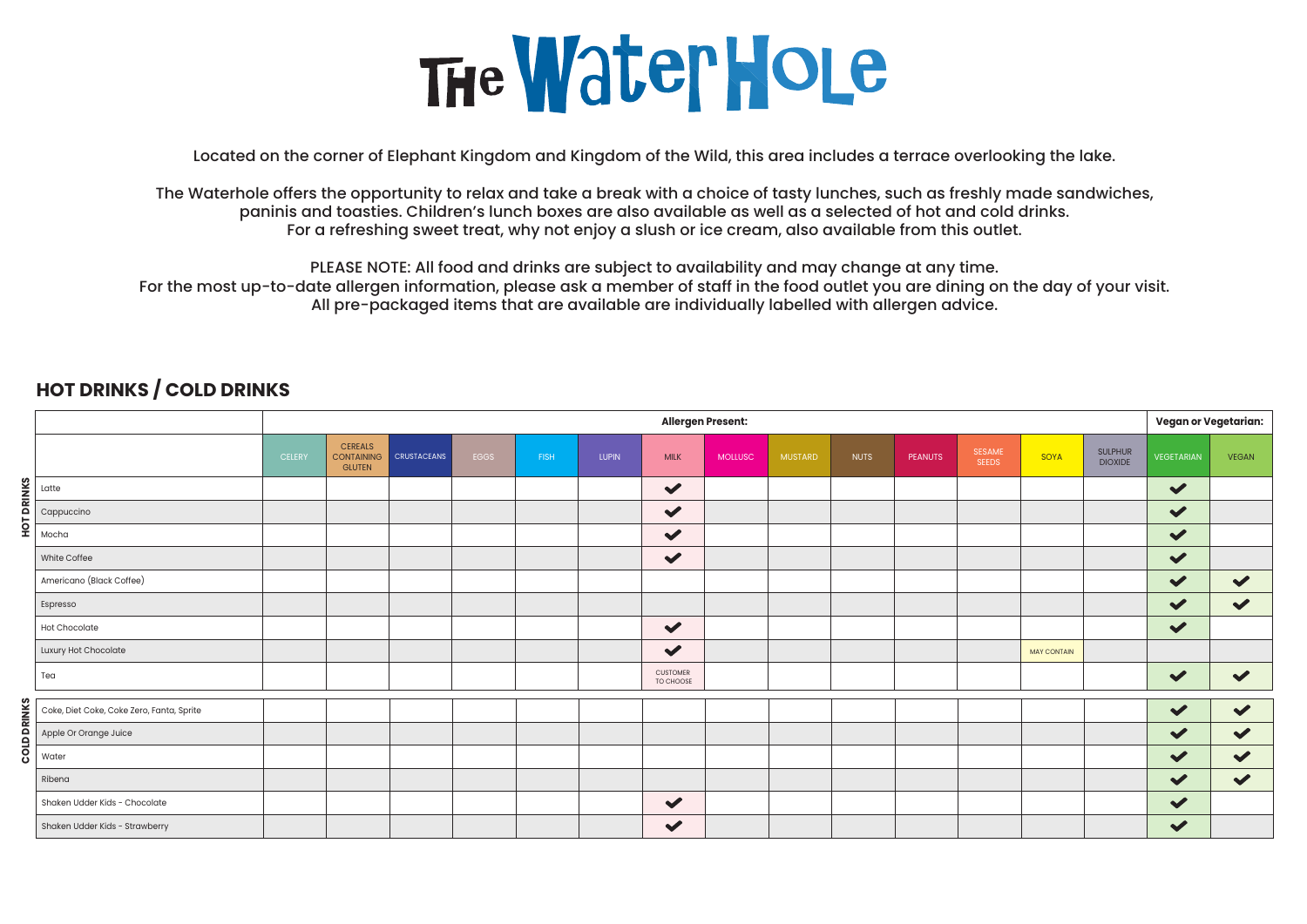## The Water Hole

Located on the corner of Elephant Kingdom and Kingdom of the Wild, this area includes a terrace overlooking the lake.

The Waterhole offers the opportunity to relax and take a break with a choice of tasty lunches, such as freshly made sandwiches, paninis and toasties. Children's lunch boxes are also available as well as a selected of hot and cold drinks. For a refreshing sweet treat, why not enjoy a slush or ice cream, also available from this outlet.

PLEASE NOTE: All food and drinks are subject to availability and may change at any time.

For the most up-to-date allergen information, please ask a member of staff in the food outlet you are dining on the day of your visit. All pre-packaged items that are available are individually labelled with allergen advice.

|                    |                                           | <b>Allergen Present:</b> |                                                      |                    |      |             |              |                              |                |                |             |                |                        |                    |                                  | <b>Vegan or Vegetarian:</b> |                      |
|--------------------|-------------------------------------------|--------------------------|------------------------------------------------------|--------------------|------|-------------|--------------|------------------------------|----------------|----------------|-------------|----------------|------------------------|--------------------|----------------------------------|-----------------------------|----------------------|
|                    |                                           | <b>CELERY</b>            | <b>CEREALS</b><br><b>CONTAINING</b><br><b>GLUTEN</b> | <b>CRUSTACEANS</b> | EGGS | <b>FISH</b> | <b>LUPIN</b> | <b>MILK</b>                  | <b>MOLLUSC</b> | <b>MUSTARD</b> | <b>NUTS</b> | <b>PEANUTS</b> | SESAME<br><b>SEEDS</b> | SOYA               | <b>SULPHUR</b><br><b>DIOXIDE</b> | <b>VEGETARIAN</b>           | <b>VEGAN</b>         |
|                    | Latte                                     |                          |                                                      |                    |      |             |              | $\blacktriangledown$         |                |                |             |                |                        |                    |                                  | $\checkmark$                |                      |
| <b>HOT DRINKS</b>  | Cappuccino                                |                          |                                                      |                    |      |             |              | $\blacktriangledown$         |                |                |             |                |                        |                    |                                  | $\blacktriangledown$        |                      |
|                    | Mocha                                     |                          |                                                      |                    |      |             |              | $\blacktriangledown$         |                |                |             |                |                        |                    |                                  | $\blacktriangledown$        |                      |
|                    | White Coffee                              |                          |                                                      |                    |      |             |              | $\checkmark$                 |                |                |             |                |                        |                    |                                  | $\checkmark$                |                      |
|                    | Americano (Black Coffee)                  |                          |                                                      |                    |      |             |              |                              |                |                |             |                |                        |                    |                                  | $\blacktriangledown$        | $\checkmark$         |
|                    | Espresso                                  |                          |                                                      |                    |      |             |              |                              |                |                |             |                |                        |                    |                                  | $\blacktriangledown$        | $\blacktriangledown$ |
|                    | Hot Chocolate                             |                          |                                                      |                    |      |             |              | $\blacktriangledown$         |                |                |             |                |                        |                    |                                  | $\blacktriangledown$        |                      |
|                    | Luxury Hot Chocolate                      |                          |                                                      |                    |      |             |              | $\blacktriangledown$         |                |                |             |                |                        | <b>MAY CONTAIN</b> |                                  |                             |                      |
|                    | Tea                                       |                          |                                                      |                    |      |             |              | <b>CUSTOMER</b><br>TO CHOOSE |                |                |             |                |                        |                    |                                  | $\blacktriangledown$        | $\blacktriangledown$ |
|                    | Coke, Diet Coke, Coke Zero, Fanta, Sprite |                          |                                                      |                    |      |             |              |                              |                |                |             |                |                        |                    |                                  | $\blacktriangledown$        | $\blacktriangledown$ |
| <b>COLD DRINKS</b> | Apple Or Orange Juice                     |                          |                                                      |                    |      |             |              |                              |                |                |             |                |                        |                    |                                  | $\checkmark$                | $\blacktriangledown$ |
|                    | Water                                     |                          |                                                      |                    |      |             |              |                              |                |                |             |                |                        |                    |                                  | $\checkmark$                | $\blacktriangledown$ |
|                    | Ribena                                    |                          |                                                      |                    |      |             |              |                              |                |                |             |                |                        |                    |                                  | $\checkmark$                | $\blacktriangledown$ |
|                    | Shaken Udder Kids - Chocolate             |                          |                                                      |                    |      |             |              | $\checkmark$                 |                |                |             |                |                        |                    |                                  | $\blacktriangledown$        |                      |
|                    | Shaken Udder Kids - Strawberry            |                          |                                                      |                    |      |             |              | $\blacktriangledown$         |                |                |             |                |                        |                    |                                  | $\checkmark$                |                      |

## **HOT DRINKS / COLD DRINKS**